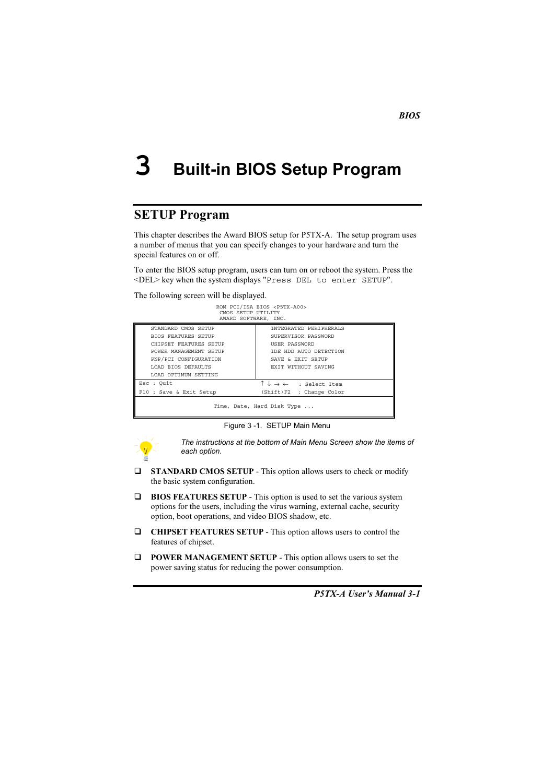### 3 **Built-in BIOS Setup Program**

## **SETUP Program**

This chapter describes the Award BIOS setup for P5TX-A. The setup program uses a number of menus that you can specify changes to your hardware and turn the special features on or off.

To enter the BIOS setup program, users can turn on or reboot the system. Press the <DEL> key when the system displays "Press DEL to enter SETUP".

The following screen will be displayed.

| CMOS SETUP UTILITY<br>AWARD SOFTWARE, INC. | ROM PCI/ISA BIOS <p5tx-a00></p5tx-a00>                     |
|--------------------------------------------|------------------------------------------------------------|
| STANDARD CMOS SETUP                        | INTEGRATED PERIPHERALS                                     |
| <b>BIOS FEATURES SETUP</b>                 | SUPERVISOR PASSWORD                                        |
| CHIPSET FEATURES SETUP                     | USER PASSWORD                                              |
| POWER MANAGEMENT SETUP                     | TDE HDD AUTO DETECTION                                     |
| PNP/PCI CONFIGURATION                      | SAVE & EXIT SETUP                                          |
| LOAD BIOS DEFAULTS                         | EXIT WITHOUT SAVING                                        |
| LOAD OPTIMUM SETTING                       |                                                            |
| Esc : Ouit                                 | $\uparrow \downarrow \rightarrow \leftarrow$ : Select Item |
| F10 : Save & Exit Setup                    | (Shift)F2 : Change Color                                   |
|                                            | Time, Date, Hard Disk Type                                 |

Figure 3 -1. SETUP Main Menu



The instructions at the bottom of Main Menu Screen show the items of each option.

- $\Box$ STANDARD CMOS SETUP - This option allows users to check or modify the basic system configuration.
- $\Box$ BIOS FEATURES SETUP - This option is used to set the various system options for the users, including the virus warning, external cache, security option, boot operations, and video BIOS shadow, etc.
- $\Box$ CHIPSET FEATURES SETUP - This option allows users to control the features of chipset.
- $\Box$  POWER MANAGEMENT SETUP This option allows users to set the power saving status for reducing the power consumption.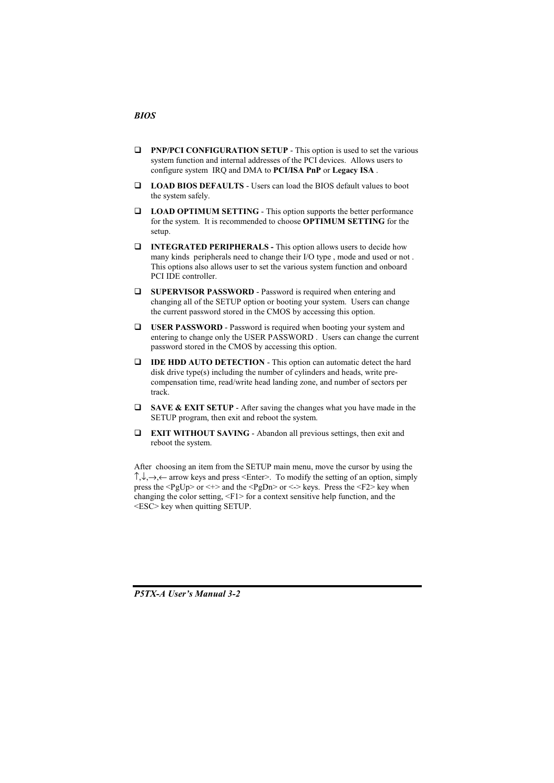#### $\Box$  PNP/PCI CONFIGURATION SETUP - This option is used to set the various system function and internal addresses of the PCI devices. Allows users to configure system IRQ and DMA to **PCI/ISA PnP** or **Legacy ISA**.

- □ LOAD BIOS DEFAULTS Users can load the BIOS default values to boot the system safely.
- $\Box$  LOAD OPTIMUM SETTING This option supports the better performance for the system. It is recommended to choose OPTIMUM SETTING for the setup.
- $\Box$  **INTEGRATED PERIPHERALS** This option allows users to decide how many kinds peripherals need to change their I/O type, mode and used or not. This options also allows user to set the various system function and onboard PCI IDE controller.
- $\Box$  SUPERVISOR PASSWORD Password is required when entering and changing all of the SETUP option or booting your system. Users can change the current password stored in the CMOS by accessing this option.
- $\Box$  USER PASSWORD Password is required when booting your system and entering to change only the USER PASSWORD. Users can change the current password stored in the CMOS by accessing this option.
- $\Box$  **IDE HDD AUTO DETECTION** This option can automatic detect the hard disk drive type(s) including the number of cylinders and heads, write precompensation time, read/write head landing zone, and number of sectors per track.
- $\Box$ SAVE & EXIT SETUP - After saving the changes what you have made in the SETUP program, then exit and reboot the system.
- $\Box$  **EXIT WITHOUT SAVING** Abandon all previous settings, then exit and reboot the system.

After choosing an item from the SETUP main menu, move the cursor by using the  $\uparrow, \downarrow, \rightarrow, \leftarrow$  arrow keys and press <Enter>. To modify the setting of an option, simply press the <PgUp> or <+> and the <PgDn> or <-> keys. Press the <F2> key when changing the color setting,  $\leq$ F1> for a context sensitive help function, and the  $\leq$ ESC $>$  key when quitting SETUP.

**P5TX-A User's Manual 3-2**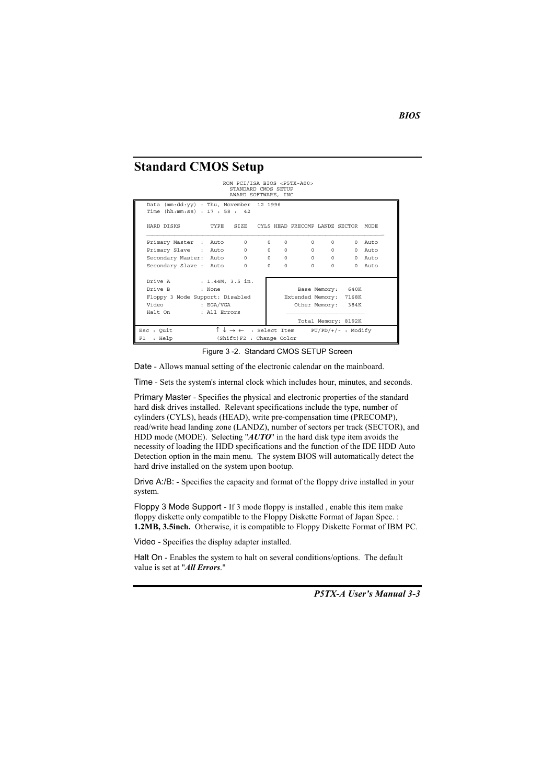#### **Standard CMOS Setup**

#### ROM PCI/ISA BIOS <P5TX-A00> STANDARD CMOS SETUP<br>AWARD SOFTWARE, INC

|    | (mm:dd:yy) : Thu, November 12 1996<br>Data<br>Time (hh:mm:ss) : 17 : 58 : 42 |                  |          |          |                          |                                                            |                               |                      |          |
|----|------------------------------------------------------------------------------|------------------|----------|----------|--------------------------|------------------------------------------------------------|-------------------------------|----------------------|----------|
|    | HARD DISKS                                                                   |                  |          |          |                          | TYPE SIZE CYLS HEAD PRECOMP LANDZ SECTOR MODE              |                               |                      |          |
|    | Primary Master : Auto                                                        |                  | $\Omega$ | $\Omega$ | $\Omega$                 | $\Omega$                                                   | $\Omega$                      | $\Omega$             | Auto     |
|    | Primary Slave : Auto                                                         |                  | $\circ$  | $\Omega$ | $\Omega$                 |                                                            | $0 \qquad \qquad$<br>$\Omega$ | $\Omega$             | Auto     |
|    | Secondary Master: Auto                                                       |                  | $\Omega$ | $\Omega$ |                          | $\Omega$                                                   | $\Omega$                      | $0 \qquad \qquad$    | $0$ Auto |
|    | Secondary Slave : Auto                                                       |                  | $\Omega$ | $\Omega$ | $\Omega$                 | $\Omega$                                                   | $\Omega$                      | $\Omega$             | Auto     |
|    |                                                                              |                  |          |          |                          |                                                            |                               |                      |          |
|    | Drive A                                                                      | : 1.44M, 3.5 in. |          |          |                          |                                                            |                               |                      |          |
|    | Drive B                                                                      | : None           |          |          |                          |                                                            |                               | Base Memory: 640K    |          |
|    | Floppy 3 Mode Support: Disabled                                              |                  |          |          |                          | Extended Memory: 7168K                                     |                               |                      |          |
|    | Video                                                                        | : EGA/VGA        |          |          |                          |                                                            |                               | Other Memory: 384K   |          |
|    | Halt On                                                                      | : All Errors     |          |          |                          |                                                            |                               |                      |          |
|    |                                                                              |                  |          |          |                          |                                                            |                               | Total Memory: 8192K  |          |
|    | Esc : Ouit                                                                   |                  |          |          |                          | $\uparrow \downarrow \rightarrow \leftarrow$ : Select Item |                               | $PU/PD/+/-$ : Modify |          |
| F1 | : Help                                                                       |                  |          |          | (Shift)F2 : Change Color |                                                            |                               |                      |          |

Figure 3 -2. Standard CMOS SETUP Screen

Date - Allows manual setting of the electronic calendar on the mainboard.

Time - Sets the system's internal clock which includes hour, minutes, and seconds.

Primary Master - Specifies the physical and electronic properties of the standard hard disk drives installed. Relevant specifications include the type, number of cylinders (CYLS), heads (HEAD), write pre-compensation time (PRECOMP), read/write head landing zone (LANDZ), number of sectors per track (SECTOR), and HDD mode (MODE). Selecting " $AUTO$ " in the hard disk type item avoids the necessity of loading the HDD specifications and the function of the IDE HDD Auto Detection option in the main menu. The system BIOS will automatically detect the hard drive installed on the system upon bootup.

Drive A:/B: - Specifies the capacity and format of the floppy drive installed in your system.

Floppy 3 Mode Support - If 3 mode floppy is installed, enable this item make floppy diskette only compatible to the Floppy Diskette Format of Japan Spec. : 1.2MB, 3.5inch. Otherwise, it is compatible to Floppy Diskette Format of IBM PC.

Video - Specifies the display adapter installed.

Halt On - Enables the system to halt on several conditions/options. The default value is set at "All Errors."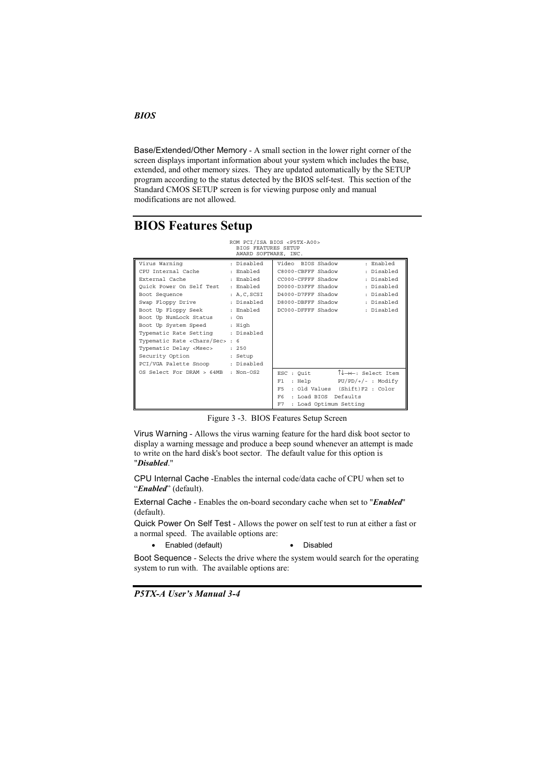Base/Extended/Other Memory - A small section in the lower right corner of the screen displays important information about your system which includes the base, extended, and other memory sizes. They are updated automatically by the SETUP program according to the status detected by the BIOS self-test. This section of the Standard CMOS SETUP screen is for viewing purpose only and manual modifications are not allowed.

# **BIOS Features Setup**

|                                           | BIOS FEATURES SETUP<br>AWARD SOFTWARE, INC. | ROM PCI/ISA BIOS <p5tx-a00></p5tx-a00>                                   |
|-------------------------------------------|---------------------------------------------|--------------------------------------------------------------------------|
| Virus Warning                             | : Disabled                                  | Video BIOS Shadow<br>: Enabled                                           |
| CPU Internal Cache                        | : Enabled                                   | : Disabled<br>C8000-CBFFF Shadow                                         |
| External Cache                            | : Enabled                                   | : Disabled<br>CC000-CFFFF Shadow                                         |
| Ouick Power On Self Test                  | : Enabled                                   | : Disabled<br>D0000-D3FFF Shadow                                         |
| Boot Sequence                             | : A, C, SCSI                                | : Disabled<br>D4000-D7FFF Shadow                                         |
| Swap Floppy Drive                         | : Disabled                                  | : Disabled<br>D8000-DBFFF Shadow                                         |
| Boot Up Floppy Seek                       | : Enabled                                   | : Disabled<br>DC000-DFFFF Shadow                                         |
| Boot Up NumLock Status                    | : On                                        |                                                                          |
| Boot Up System Speed                      | : High                                      |                                                                          |
| Typematic Rate Setting                    | : Disabled                                  |                                                                          |
| Typematic Rate <chars sec=""> : 6</chars> |                                             |                                                                          |
| Typematic Delay <msec></msec>             | : 250                                       |                                                                          |
| Security Option                           | : Setup                                     |                                                                          |
| PCI/VGA Palette Snoop                     | : Disabled                                  |                                                                          |
| OS Select For DRAM > 64MB                 | $:$ Non-0S2                                 | $\uparrow \downarrow \rightarrow \leftarrow$ : Select Item<br>ESC : Quit |
|                                           |                                             | $PU/PD/+/-$ : Modify<br>: Help<br>F1.                                    |
|                                           |                                             | (Shift) F2 : Color<br>F5<br>: Old Values                                 |
|                                           |                                             | F6<br>: Load BIOS<br>Defaults                                            |
|                                           |                                             | F7<br>: Load Optimum Setting                                             |

Figure 3 -3. BIOS Features Setup Screen

Virus Warning - Allows the virus warning feature for the hard disk boot sector to display a warning message and produce a beep sound whenever an attempt is made to write on the hard disk's boot sector. The default value for this option is "Disabled."

CPU Internal Cache -Enables the internal code/data cache of CPU when set to "Enabled" (default).

External Cache - Enables the on-board secondary cache when set to "Enabled" (default).

Quick Power On Self Test - Allows the power on self test to run at either a fast or a normal speed. The available options are:

• Enabled (default)

• Disabled

Boot Sequence - Selects the drive where the system would search for the operating system to run with. The available options are:

P5TX-A User's Manual 3-4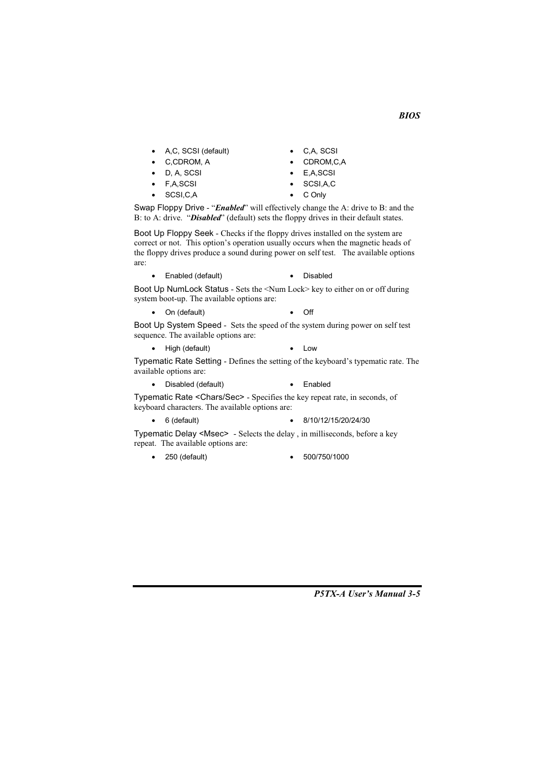- A,C, SCSI (default)  $\bullet$
- C,CDROM, A
- D. A. SCSI
- F.A.SCSI  $\bullet$

 $\bullet$ 

SCSI, C, A

- CDROM, C, A E,A,SCSI
- SCSI.A.C  $\bullet$

• C.A. SCSI

C Only  $\bullet$ 

Swap Floppy Drive - "Enabled" will effectively change the A: drive to B: and the B: to A: drive. "Disabled" (default) sets the floppy drives in their default states.

Boot Up Floppy Seek - Checks if the floppy drives installed on the system are correct or not. This option's operation usually occurs when the magnetic heads of the floppy drives produce a sound during power on self test. The available options are:

• Enabled (default)

• Disabled

Boot Up NumLock Status - Sets the <Num Lock> key to either on or off during system boot-up. The available options are:

On (default)  $\bullet$  Off

Boot Up System Speed - Sets the speed of the system during power on self test sequence. The available options are:

• High (default)  $\bullet$  Low

Typematic Rate Setting - Defines the setting of the keyboard's typematic rate. The available options are:

• Disabled (default) • Enabled

Typematic Rate <Chars/Sec> - Specifies the key repeat rate, in seconds, of keyboard characters. The available options are:

 $\bullet$  6 (default)

• 8/10/12/15/20/24/30

Typematic Delay <Msec> - Selects the delay, in milliseconds, before a key repeat. The available options are:

- $\bullet$  250 (default)
- $-500/750/1000$

P5TX-A User's Manual 3-5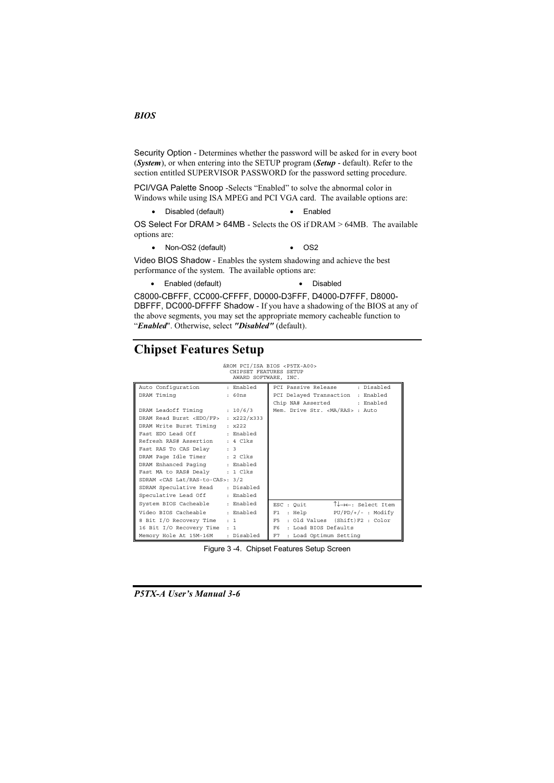Security Option - Determines whether the password will be asked for in every boot (System), or when entering into the SETUP program (Setup - default). Refer to the section entitled SUPERVISOR PASSWORD for the password setting procedure.

PCI/VGA Palette Snoop -Selects "Enabled" to solve the abnormal color in Windows while using ISA MPEG and PCI VGA card. The available options are:

• Disabled (default) • Enabled

OS Select For DRAM > 64MB - Selects the OS if DRAM > 64MB. The available options are:

• Non-OS2 (default)  $\bullet$  OS2

Video BIOS Shadow - Enables the system shadowing and achieve the best performance of the system. The available options are:

• Enabled (default) • Disabled

C8000-CBFFF, CC000-CFFFF, D0000-D3FFF, D4000-D7FFF, D8000-DBFFF, DC000-DFFFF Shadow - If you have a shadowing of the BIOS at any of the above segments, you may set the appropriate memory cacheable function to "Enabled". Otherwise, select "Disabled" (default).

# **Chipset Features Setup**

# áROM PCI/ISA BIOS <P5TX-A00><br>CHIPSET FEATURES SETUP<br>AWARD SOFTWARE, INC.

|                                             | $r$ <i>infille</i> borring, $r$ inc. |                                                                          |
|---------------------------------------------|--------------------------------------|--------------------------------------------------------------------------|
| Auto Configuration                          | : Enabled                            | : Disabled<br>PCI Passive Release                                        |
| DRAM Timing                                 | : 60ns                               | PCI Delayed Transaction : Enabled                                        |
|                                             |                                      | Chip NA# Asserted : Enabled                                              |
| DRAM Leadoff Timing                         | : 10/6/3                             | Mem. Drive Str. <ma ras=""> : Auto</ma>                                  |
| DRAM Read Burst <edo fp=""></edo>           | : x222/x333                          |                                                                          |
| DRAM Write Burst Timing                     | $\pm x222$                           |                                                                          |
| Fast EDO Lead Off                           | : Enabled                            |                                                                          |
| Refresh RAS# Assertion                      | : 4 Clks                             |                                                                          |
| Fast RAS To CAS Delay : 3                   |                                      |                                                                          |
| DRAM Page Idle Timer : 2 Clks               |                                      |                                                                          |
| DRAM Enhanced Paging                        | : Enabled                            |                                                                          |
| Fast MA to RAS# Dealy : 1 Clks              |                                      |                                                                          |
| SDRAM <cas lat="" ras-to-cas="">: 3/2</cas> |                                      |                                                                          |
| SDRAM Speculative Read                      | : Disabled                           |                                                                          |
| Speculative Lead Off                        | : Enabled                            |                                                                          |
| System BIOS Cacheable                       | : Enabled                            | $\uparrow \downarrow \rightarrow \leftarrow$ : Select Item<br>ESC : Quit |
| Video BIOS Cacheable                        | : Enabled                            | : Help $PU/PD/*/-$ : Modify<br>F1                                        |
| 8 Bit I/O Recovery Time                     | : 1                                  | : Old Values (Shift)F2 : Color<br>F5.                                    |
| 16 Bit I/O Recovery Time                    | $\cdot$ 1                            | F6.<br>: Load BIOS Defaults                                              |
| Memory Hole At 15M-16M                      | : Disabled                           | : Load Optimum Setting<br>F7                                             |

Figure 3 -4. Chipset Features Setup Screen

P5TX-A User's Manual 3-6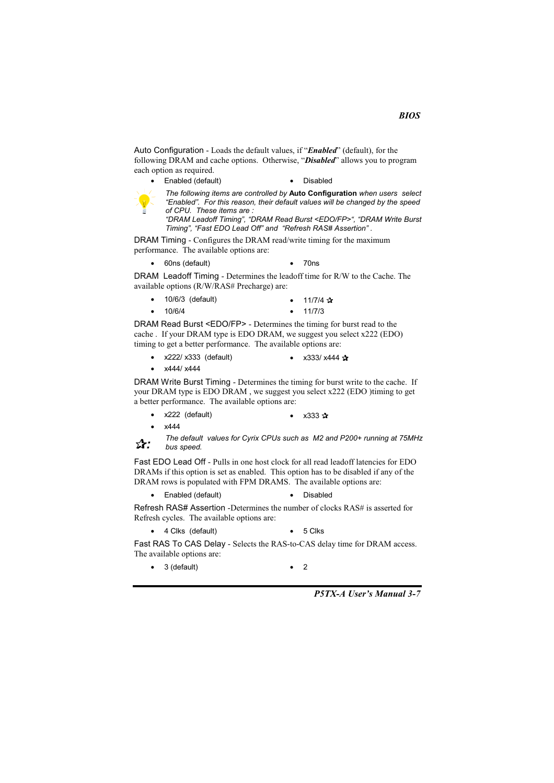Auto Configuration - Loads the default values, if "Enabled" (default), for the following DRAM and cache options. Otherwise, "*Disabled*" allows you to program each option as required.

• Enabled (default)

• Disabled



The following items are controlled by Auto Configuration when users select "Enabled". For this reason, their default values will be changed by the speed of CPU. These items are :

"DRAM Leadoff Timing", "DRAM Read Burst <EDO/FP>", "DRAM Write Burst<br>"DRAM Leadoff Timing", "DRAM Read Burst <EDO/FP>", "DRAM Write Burst<br>Timing", "Fast EDO Lead Off" and "Refresh RAS# Assertion" .

DRAM Timing - Configures the DRAM read/write timing for the maximum performance. The available options are:

• 60ns (default)  $\bullet$  70ns

DRAM Leadoff Timing - Determines the leadoff time for R/W to the Cache. The available options (R/W/RAS# Precharge) are:

| $\bullet$ | 10/6/3 (default) |  | • $11/7/4$ $\sqrt{x}$ |
|-----------|------------------|--|-----------------------|
|           | $\bullet$ 10/6/4 |  | $\bullet$ 11/7/3      |

DRAM Read Burst <EDO/FP> - Determines the timing for burst read to the cache. If your DRAM type is EDO DRAM, we suggest you select x222 (EDO) timing to get a better performance. The available options are:

- $\bullet$  x222/ x333 (default) •  $x333/x444 x$
- $\bullet$  x444/ x444

DRAM Write Burst Timing - Determines the timing for burst write to the cache. If your DRAM type is EDO DRAM, we suggest you select x222 (EDO) timing to get a better performance. The available options are:

- x222 (default) •  $x333x$
- x444

The default values for Cyrix CPUs such as M2 and P200+ running at 75MHz ☆: bus speed

Fast EDO Lead Off - Pulls in one host clock for all read leadoff latencies for EDO DRAMs if this option is set as enabled. This option has to be disabled if any of the DRAM rows is populated with FPM DRAMS. The available options are:

• Enabled (default) · Disabled

Refresh RAS# Assertion -Determines the number of clocks RAS# is asserted for Refresh cycles. The available options are:

4 Clks (default)  $-5$  Clks

Fast RAS To CAS Delay - Selects the RAS-to-CAS delay time for DRAM access. The available options are:

 $\bullet$  3 (default)

 $\bullet$  2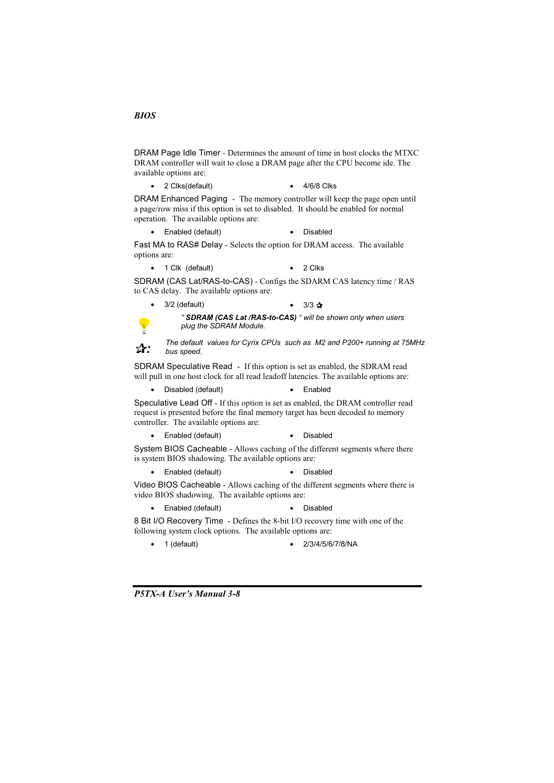DRAM Page Idle Timer - Determines the amount of time in host clocks the MTXC DRAM controller will wait to close a DRAM page after the CPU become ide. The available options are:

• 2 Clks(default)  $-4/6/8$  Clks

DRAM Enhanced Paging - The memory controller will keep the page open until a page/row miss if this option is set to disabled. It should be enabled for normal operation. The available options are:

• Enabled (default) • Disabled

Fast MA to RAS# Delay - Selects the option for DRAM access. The available options are:

• 1 Clk (default)  $\bullet$  2 Clks

SDRAM (CAS Lat/RAS-to-CAS) - Configs the SDARM CAS latency time / RAS to CAS delay. The available options are:

3/2 (default)

" SDRAM (CAS Lat /RAS-to-CAS) " will be shown only when users plug the SDRAM Module.

•  $3/3 \sqrt{x}$ 

The default values for Cyrix CPUs such as M2 and P200+ running at 75MHz ☆: bus speed.

SDRAM Speculative Read - If this option is set as enabled, the SDRAM read will pull in one host clock for all read leadoff latencies. The available options are:

• Disabled (default) • Enabled

Speculative Lead Off - If this option is set as enabled, the DRAM controller read request is presented before the final memory target has been decoded to memory controller. The available options are:

• Enabled (default) • Disabled

System BIOS Cacheable - Allows caching of the different segments where there is system BIOS shadowing. The available options are:

• Enabled (default) • Disabled

Video BIOS Cacheable - Allows caching of the different segments where there is video BIOS shadowing. The available options are:

• Enabled (default) • Disabled

8 Bit I/O Recovery Time - Defines the 8-bit I/O recovery time with one of the following system clock options. The available options are:

 $\bullet$  1 (default)

 $\bullet$  2/3/4/5/6/7/8/NA

**P5TX-A User's Manual 3-8**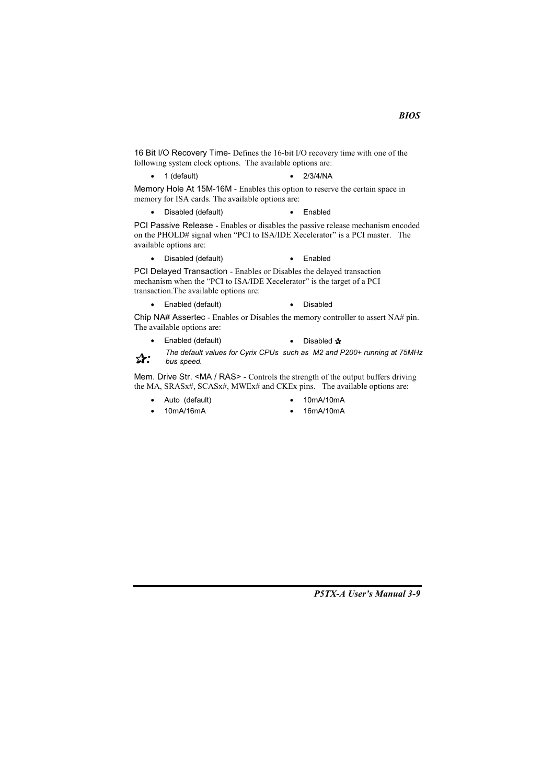16 Bit I/O Recovery Time- Defines the 16-bit I/O recovery time with one of the following system clock options. The available options are:

 $\bullet$  1 (default)  $-2/3/4/NA$ 

Memory Hole At 15M-16M - Enables this option to reserve the certain space in memory for ISA cards. The available options are:

• Disabled (default)  $\bullet$  Fnabled

PCI Passive Release - Enables or disables the passive release mechanism encoded on the PHOLD# signal when "PCI to ISA/IDE Xecelerator" is a PCI master. The available options are:

• Disabled (default) • Enabled

PCI Delayed Transaction - Enables or Disables the delayed transaction mechanism when the "PCI to ISA/IDE Xecelerator" is the target of a PCI transaction. The available options are:

• Enabled (default) • Disabled

Chip NA# Assertec - Enables or Disables the memory controller to assert NA# pin. The available options are:

- Enabled (default)  $\bullet$ • Disabled  $\mathbf{\hat{x}}$
- The default values for Cyrix CPUs such as M2 and P200+ running at 75MHz ☆: bus speed.

Mem. Drive Str. <MA / RAS> - Controls the strength of the output buffers driving the MA, SRASx#, SCASx#, MWEx# and CKEx pins. The available options are:

- Auto (default)  $\bullet$ 
	- 10mA/16mA

 $\bullet$ 

- 10mA/10mA
- 16mA/10mA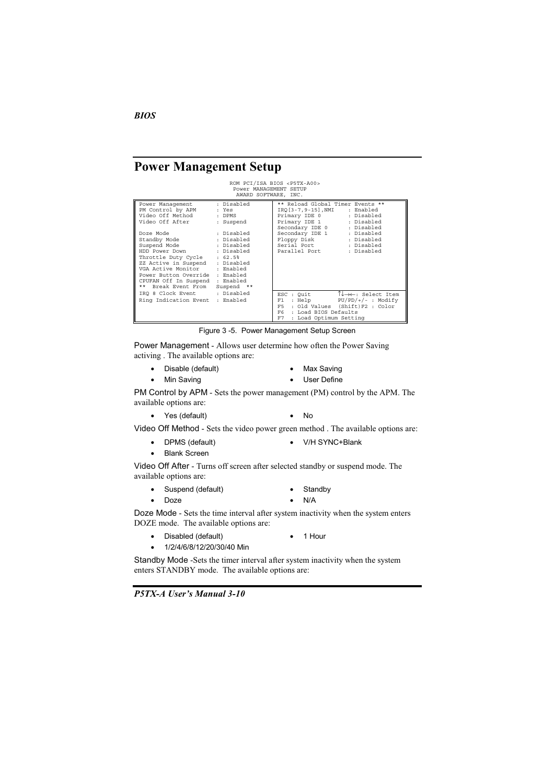**Power Management Setup** 

|                                                                                                                                                                                                                                                                                  | Power MANAGEMENT SETUP<br>AWARD SOFTWARE, INC. | ROM PCI/ISA BIOS <p5tx-a00></p5tx-a00>                                                                                                                                                                                                |
|----------------------------------------------------------------------------------------------------------------------------------------------------------------------------------------------------------------------------------------------------------------------------------|------------------------------------------------|---------------------------------------------------------------------------------------------------------------------------------------------------------------------------------------------------------------------------------------|
| Power Management<br>PM Control by APM<br>Video Off Method : DPMS<br>Video Off After                                                                                                                                                                                              | : Disabled<br>: Yes<br>: Suspend               | ** Reload Global Timer Events **<br>IRO[3-7,9-15],NMI<br>: Enabled<br>Primary IDE 0 : Disabled<br>Primary IDE 1 : Disabled<br>Secondary IDE 0 : Disabled                                                                              |
| Doze Mode<br>Standby Mode<br>Suspend Mode : Disabled<br>HDD Power Down : Disabled<br>Throttle Duty Cycle : 62.5%<br>ZZ Active in Suspend : Disabled<br>VGA Active Monitor : Enabled<br>Power Button Override : Enabled<br>CPUFAN Off In Suspend : Enabled<br>** Break Event From | : Disabled<br>: Disabled<br>Suspend **         | Secondary IDE 1 : Disabled<br>Floppy Disk : Disabled<br>Serial Port : Disabled<br>: Disabled<br>Parallel Port                                                                                                                         |
| IRQ 8 Clock Event : Disabled<br>Ring Indication Event : Enabled                                                                                                                                                                                                                  |                                                | $\uparrow \downarrow \rightarrow \leftarrow$ : Select Item<br>ESC : Quit<br>$PU/PD/+/-$ : Modify<br>: Help<br>F1<br>: Old Values (Shift) F2 : Color<br>F <sub>5</sub><br>F6 -<br>: Load BIOS Defaults<br>F7<br>: Load Optimum Setting |

Figure 3-5. Power Management Setup Screen

Power Management - Allows user determine how often the Power Saving activing . The available options are:

- - 47-
- Max Saving
- Min Savi ng **began below that the Second Contract Contract Contract Contract Contract Contract Contract Contract Contra**
- 

PM Control by APM - Sets the power management (PM) control by the APM. The available options are:

• Yes (default) • No

Video Off Method - Sets the video power green method . The available options are:

- 9-&82:;5
	-
- Blank Screen
- 

Video Off After - Turns off screen after selected standby or suspend mode. The available options are:

- Suspend (default) Standby
- Doze N/A
- -

Doze Mode - Sets the time interval after system inactivity when the system enters DOZE mode. The available options are:

- - •
- 1/2/4/6/8/12/20/30/40 Min
- 1 Hour

Standby Mode -Sets the timer interval after system inactivity when the system enters STANDBY mode. The available options are:

P5TX-A User's Manual 3-10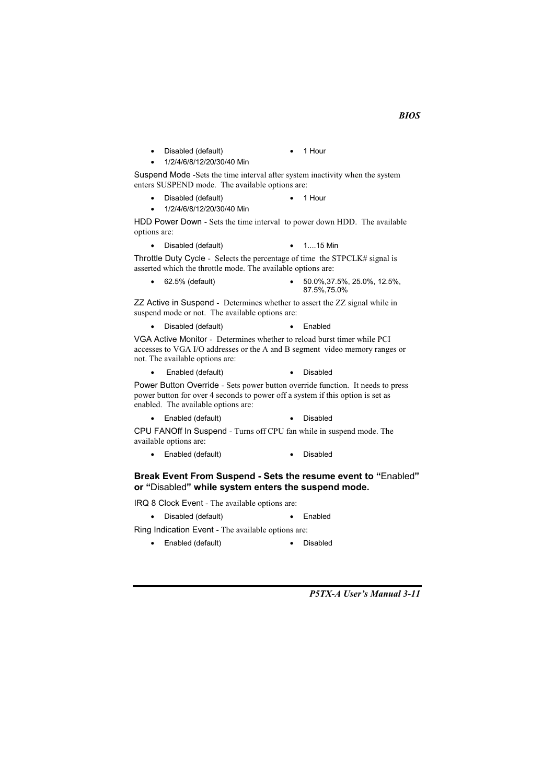Disabled (default)  $\bullet$  1 Hour 1/2/4/6/8/12/20/30/40 Min

Suspend Mode -Sets the time interval after system inactivity when the system enters SUSPEND mode. The available options are:

• Disabled (default) 1 Hour

1/2/4/6/8/12/20/30/40 Min

HDD Power Down - Sets the time interval to power down HDD. The available options are:

• Disabled (default)  $\bullet$  1...15 Min

Throttle Duty Cycle - Selects the percentage of time the STPCLK# signal is asserted which the throttle mode. The available options are:

 $\bullet$  62.5% (default)  $\bullet$  50.0%.37.5%, 25.0%, 12.5%. 87.5%, 75.0%

ZZ Active in Suspend - Determines whether to assert the ZZ signal while in suspend mode or not. The available options are:

• Disabled (default) • Enabled

VGA Active Monitor - Determines whether to reload burst timer while PCI accesses to VGA I/O addresses or the A and B segment video memory ranges or not. The available options are:

Enabled (default)  $\bullet$ 

• Disabled

Power Button Override - Sets power button override function. It needs to press power button for over 4 seconds to power off a system if this option is set as enabled. The available options are:

• Enabled (default) • Disabled

CPU FANOff In Suspend - Turns off CPU fan while in suspend mode. The available options are:

• Enabled (default) • Disabled

#### Break Event From Suspend - Sets the resume event to "Enabled" or "Disabled" while system enters the suspend mode.

IRQ 8 Clock Event - The available options are:

• Disabled (default)  $\bullet$  Enabled

Ring Indication Event - The available options are:

• Enabled (default) · Disabled

P5TX-A User's Manual 3-11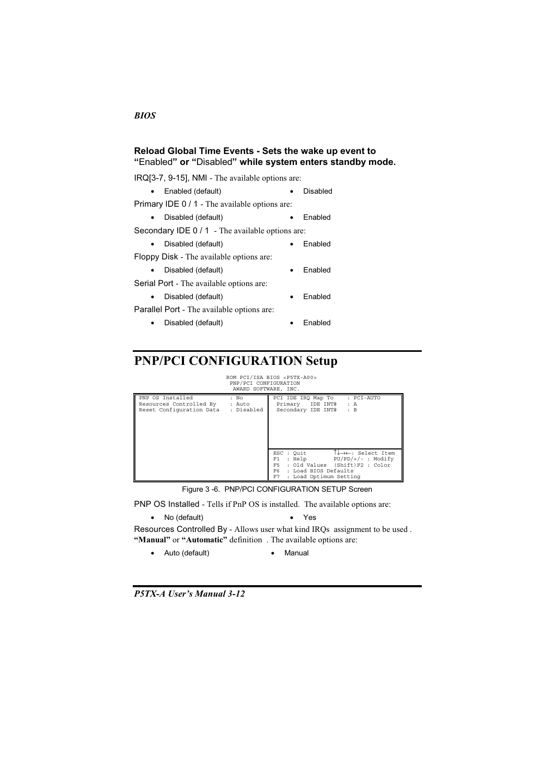#### Reload Global Time Events - Sets the wake up event to "Enabled" or "Disabled" while system enters standby mode.

 $IRQ[3-7, 9-15]$ , NMI - The available options are: • Enabled (default) · Disabled

Primary IDE  $0/1$  - The available options are:

• - •

Secondary IDE 0 / 1 - The available options are:

• - •

- Floppy Disk The available options are:
- - •

Serial Port - The available options are:

• - •

Parallel Port - The available options are:

- - •
- 

# **PNP/PCI CONFIGURATION Setup**

ROM PCI/ISA BIOS <P5TX-A00><br>PNP/PCI CONFIGURATION<br>AWARD SOFTWARE, INC.

|                                                                         | AWARD SUFIWARE, INC.         |                                                                                                                                                                                                                        |
|-------------------------------------------------------------------------|------------------------------|------------------------------------------------------------------------------------------------------------------------------------------------------------------------------------------------------------------------|
| PNP OS Installed<br>Resources Controlled By<br>Reset Configuration Data | : No<br>: Auto<br>: Disabled | : PCI-AUTO<br>PCI IDE IRO Map To<br>Primary IDE INT#<br>: A<br>Secondary IDE INT#<br>: B                                                                                                                               |
|                                                                         |                              | $\uparrow \downarrow \rightarrow \leftarrow$ : Select Item<br>ESC : Ouit<br>PU/PD/+/- : Modify<br>: Help<br>F1<br>: Old Values (Shift)F2 : Color<br>F5.<br>F6.<br>: Load BIOS Defaults<br>F7<br>: Load Optimum Setting |

Figure 3 -6. PNP/PCI CONFIGURATION SETUP Screen

PNP OS Installed - Tells if PnP OS is installed. The available options are:

• No (default) • Yes

Resources Controlled By - Allows user what kind IRQs assignment to be used. "Manual" or "Automatic" definition. The available options are:

Auto (default) **•** Manual

P5TX-A User's Manual 3-12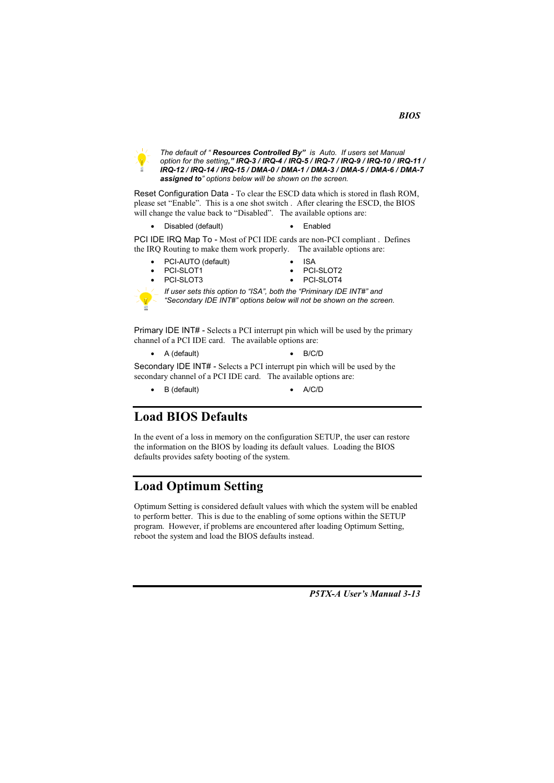

The default of "Resources Controlled By" is Auto. If users set Manual option for the setting," IRQ-3 / IRQ-4 / IRQ-5 / IRQ-7 / IRQ-9 / IRQ-10 / IRQ-11 / IRQ-12 / IRQ-14 / IRQ-15 / DMA-0 / DMA-1 / DMA-3 / DMA-5 / DMA-6 / DMA-7 assigned to" options below will be shown on the screen.

Reset Configuration Data - To clear the ESCD data which is stored in flash ROM, please set "Enable". This is a one shot switch. After clearing the ESCD, the BIOS will change the value back to "Disabled". The available options are:

Disabled (default) • Enabled

PCI IDE IRQ Map To - Most of PCI IDE cards are non-PCI compliant. Defines the IRQ Routing to make them work properly. The available options are:

- PCI-AUTO (default)
- **ISA** PCI-SLOT2
- PCI-SLOT1 PCI-SLOT3
- PCI-SLOT4
- 
- 

If user sets this option to "ISA", both the "Priminary IDE INT#" and "Secondary IDE INT#" options below will not be shown on the screen.

Primary IDE INT# - Selects a PCI interrupt pin which will be used by the primary channel of a PCI IDE card. The available options are:

A (default)  $R/C/D$ 

Secondary IDE INT# - Selects a PCI interrupt pin which will be used by the secondary channel of a PCI IDE card. The available options are:

 $\bullet$  B (default)  $\bullet$  A/C/D

## **Load BIOS Defaults**

In the event of a loss in memory on the configuration SETUP, the user can restore the information on the BIOS by loading its default values. Loading the BIOS defaults provides safety booting of the system.

## **Load Optimum Setting**

Optimum Setting is considered default values with which the system will be enabled to perform better. This is due to the enabling of some options within the SETUP program. However, if problems are encountered after loading Optimum Setting, reboot the system and load the BIOS defaults instead.

P5TX-A User's Manual 3-13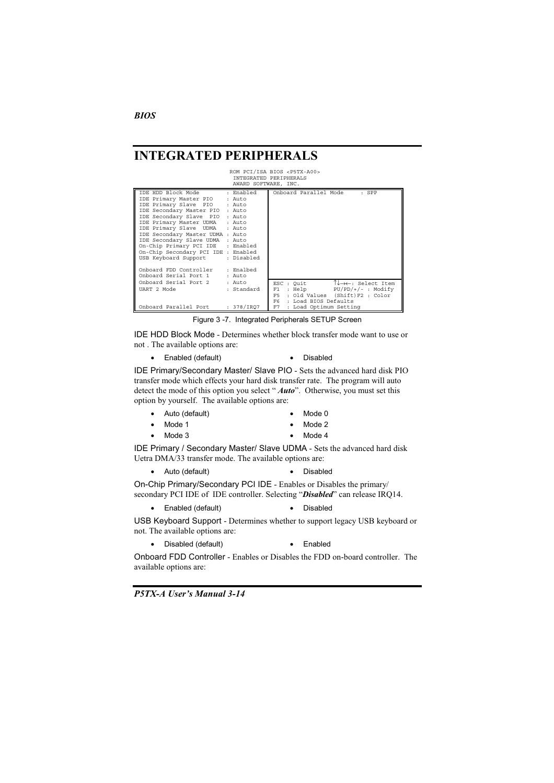## **INTEGRATED PERIPHERALS**

# ROM PCI/ISA BIOS <P5TX-A00><br>INTEGRATED PERIPHERALS<br>AWARD SOFTWARE, INC.

| TDE HDD Block Mode : Enabled        |            |      | Onboard Parallel Mode  | : SPP                                                      |
|-------------------------------------|------------|------|------------------------|------------------------------------------------------------|
| IDE Primary Master PIO              | : Auto     |      |                        |                                                            |
| IDE Primary Slave PIO               | : Auto     |      |                        |                                                            |
| IDE Secondary Master PIO : Auto     |            |      |                        |                                                            |
| IDE Secondary Slave PIO : Auto      |            |      |                        |                                                            |
| IDE Primary Master UDMA : Auto      |            |      |                        |                                                            |
| IDE Primary Slave UDMA              | : Auto     |      |                        |                                                            |
| IDE Secondary Master UDMA : Auto    |            |      |                        |                                                            |
| IDE Secondary Slave UDMA : Auto     |            |      |                        |                                                            |
| On-Chip Primary PCI IDE : Enabled   |            |      |                        |                                                            |
| On-Chip Secondary PCI IDE : Enabled |            |      |                        |                                                            |
| USB Keyboard Support                | : Disabled |      |                        |                                                            |
|                                     |            |      |                        |                                                            |
| Onboard FDD Controller : Enalbed    |            |      |                        |                                                            |
| Onboard Serial Port 1               | $:$ Auto   |      |                        |                                                            |
| Onboard Serial Port 2               | : Auto     |      | ESC : Ouit             | $\uparrow \downarrow \rightarrow \leftarrow$ : Select Item |
| UART 2 Mode                         | : Standard | F1   | : Help                 | $PU/PD/+/-$ : Modify                                       |
|                                     |            | F5.  |                        | : Old Values (Shift)F2 : Color                             |
|                                     |            | F6 - | : Load BIOS Defaults   |                                                            |
| Onboard Parallel Port               | : 378/IRO7 | F7   | : Load Optimum Setting |                                                            |

Figure 3 -7. Integrated Peripherals SETUP Screen

IDE HDD Block Mode - Determines whether block transfer mode want to use or not. The available options are:

• Enabled (default) • Disabled

IDE Primary/Secondary Master/ Slave PIO - Sets the advanced hard disk PIO transfer mode which effects your hard disk transfer rate. The program will auto detect the mode of this option you select "Auto". Otherwise, you must set this option by yourself. The available options are:

| $\bullet$ | Auto (default) |  | $\bullet$ Mode 0 |
|-----------|----------------|--|------------------|
|-----------|----------------|--|------------------|

- $\bullet$  Mode 1  $\bullet$  Mode 2  $\bullet$  Mode 3
	- $\bullet$  Mode 4

IDE Primary / Secondary Master/ Slave UDMA - Sets the advanced hard disk Uetra DMA/33 transfer mode. The available options are:

• Auto (default) • Disabled

On-Chip Primary/Secondary PCI IDE - Enables or Disables the primary/ secondary PCI IDE of IDE controller. Selecting "Disabled" can release IRQ14.

• Enabled (default) • Disabled

USB Keyboard Support - Determines whether to support legacy USB keyboard or not. The available options are:

• Disabled (default) • Enabled

Onboard FDD Controller - Enables or Disables the FDD on-board controller. The available options are:

**P5TX-A User's Manual 3-14**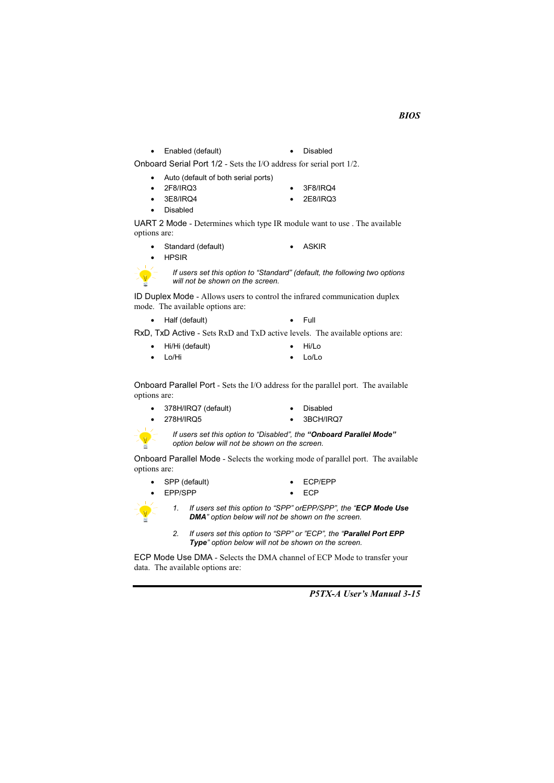• Enabled (default) · Disabled

Onboard Serial Port  $1/2$  - Sets the I/O address for serial port  $1/2$ .

- Auto (default of both serial ports)
	- 2F8/IRQ3 3F8/IRQ4
	- 3E8/IRQ4 2E8/IRQ3
- Disabled

UART 2 Mode - Determines which type IR module want to use . The available options are:

- Standard (default) ASKIR
- **HPSIR**



*If users set this option to "Standard" (default, the following two options will not be shown on the screen.* 

ID Duplex Mode - Allows users to control the infrared communication duplex mode. The available options are:

• Half (default) • Full

 $RxD$ ,  $TxD$  Active - Sets  $RxD$  and  $TxD$  active levels. The available options are:

- &--&- &-• Hi/Lo
- Lo/Hi • Lo/Lo

Onboard Parallel Port - Sets the I/O address for the parallel port. The available options are:

- 378H/IRQ7 (default)
- Disabled
- 
- 1,&-#\$?/ ;&-#\$?1

If users set this option to "Disabled", the "Onboard Parallel Mode" *option below will not be shown on the screen.* 

Onboard Parallel Mode - Selects the working mode of parallel port. The available options are:

- SPP (default) ECP/EPP
	- - •



1. If users set this option to "SPP" orEPP/SPP", the "ECP Mode Use

- 2. If users set this option to "SPP" or "ECP", the "**Parallel Port EPP** 
	- Type" option below will not be shown on the screen.

DMA" option below will not be shown on the screen.

ECP Mode Use DMA - Selects the DMA channel of ECP Mode to transfer your data. The available options are:

P5TX-A User's Manual 3-15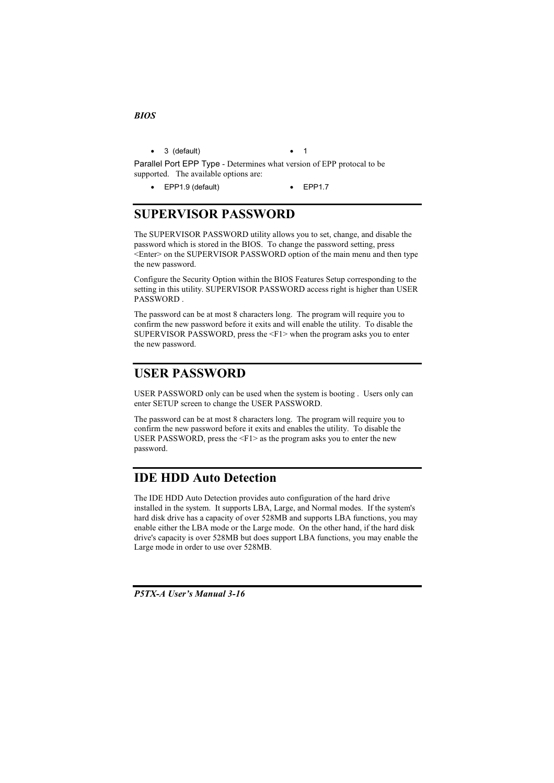**BIOS** 

 $\bullet$  3 (default)

 $\overline{1}$ 

 $\ddot{\phantom{a}}$ 

Parallel Port EPP Type - Determines what version of EPP protocal to be supported. The available options are:

 $\bullet$  EPP1.9 (default)  $\bullet$  EPP1.7

# **SUPERVISOR PASSWORD**

The SUPERVISOR PASSWORD utility allows you to set, change, and disable the password which is stored in the BIOS. To change the password setting, press <Enter> on the SUPERVISOR PASSWORD option of the main menu and then type the new password.

Configure the Security Option within the BIOS Features Setup corresponding to the setting in this utility. SUPERVISOR PASSWORD access right is higher than USER PASSWORD.

The password can be at most 8 characters long. The program will require you to confirm the new password before it exits and will enable the utility. To disable the SUPERVISOR PASSWORD, press the  $\leq$ F1> when the program asks you to enter the new password.

## **USER PASSWORD**

USER PASSWORD only can be used when the system is booting. Users only can enter SETUP screen to change the USER PASSWORD.

The password can be at most 8 characters long. The program will require you to confirm the new password before it exits and enables the utility. To disable the USER PASSWORD, press the  $\leq$ F1 $>$  as the program asks you to enter the new password.

## **IDE HDD Auto Detection**

The IDE HDD Auto Detection provides auto configuration of the hard drive installed in the system. It supports LBA, Large, and Normal modes. If the system's hard disk drive has a capacity of over 528MB and supports LBA functions, you may enable either the LBA mode or the Large mode. On the other hand, if the hard disk drive's capacity is over 528MB but does support LBA functions, you may enable the Large mode in order to use over 528MB.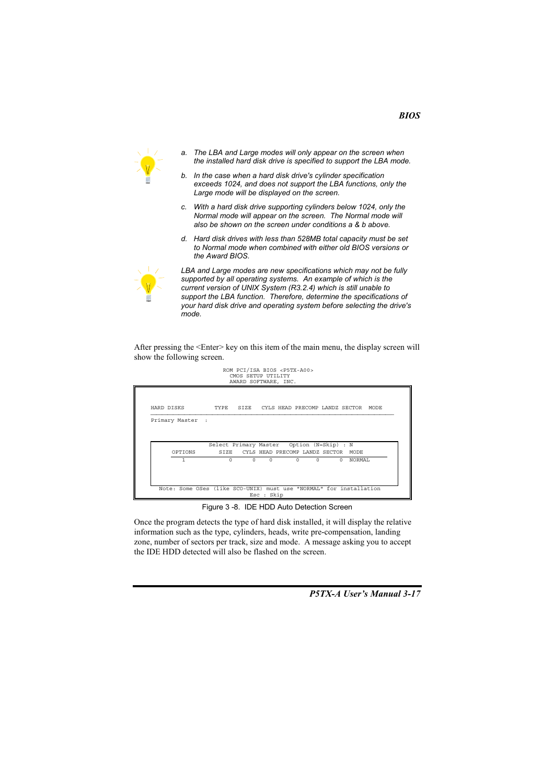

- *a. The LBA and Large modes will only appear on the screen when the installed hard disk drive is specified to support the LBA mode.*
- *b. In the case when a hard disk drive's cylinder specification exceeds 1024, and does not support the LBA functions, only the Large mode will be displayed on the screen.*
- *c. With a hard disk drive supporting cylinders below 1024, only the Normal mode will appear on the screen. The Normal mode will also be shown on the screen under conditions a & b above.*
- *d. Hard disk drives with less than 528MB total capacity must be set to Normal mode when combined with either old BIOS versions or the Award BIOS.*



*LBA and Large modes are new specifications which may not be fully supported by all operating systems. An example of which is the current version of UNIX System (R3.2.4) which is still unable to support the LBA function. Therefore, determine the specifications of your hard disk drive and operating system before selecting the drive's mode.* 

After pressing the  $\leq$ Enter $\geq$  key on this item of the main menu, the display screen will show the following screen.

| HARD DISKS       | TYPE                                      |  |  |                                     | SIZE CYLS HEAD PRECOMP LANDZ SECTOR MODE |
|------------------|-------------------------------------------|--|--|-------------------------------------|------------------------------------------|
| Primary Master : |                                           |  |  |                                     |                                          |
|                  |                                           |  |  |                                     |                                          |
|                  |                                           |  |  |                                     |                                          |
|                  | Select Primary Master Option (N=Skip) : N |  |  |                                     |                                          |
|                  |                                           |  |  | SIZE CYLS HEAD PRECOMP LANDZ SECTOR | MODE                                     |
| OPTIONS          |                                           |  |  |                                     |                                          |

Figure 3 -8. IDE HDD Auto Detection Screen

Once the program detects the type of hard disk installed, it will display the relative information such as the type, cylinders, heads, write pre-compensation, landing zone, number of sectors per track, size and mode. A message asking you to accept the IDE HDD detected will also be flashed on the screen.